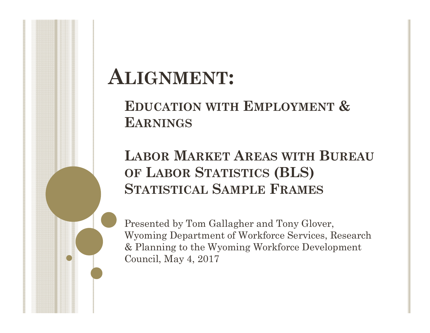# **ALIGNMENT:**

### **EDUCATION WITH EMPLOYMENT & EARNINGS**

### **LABOR MARKET AREAS WITH BUREAU OF LABOR STATISTICS (BLS) STATISTICAL SAMPLE FRAMES**

Presented by Tom Gallagher and Tony Glover, Wyoming Department of Workforce Services, Research & Planning to the Wyoming Workforce Development Council, May 4, 2017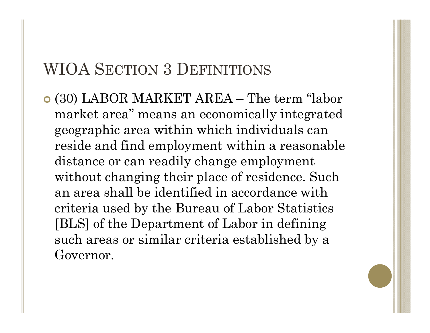### WIOA SECTION 3 DEFINITIONS

 (30) LABOR MARKET AREA – The term "labor market area" means an economically integrated geographic area within which individuals can reside and find employment within a reasonable distance or can readily change employment without changing their place of residence. Such an area shall be identified in accordance with criteria used by the Bureau of Labor Statistics [BLS] of the Department of Labor in defining such areas or similar criteria established by a Governor.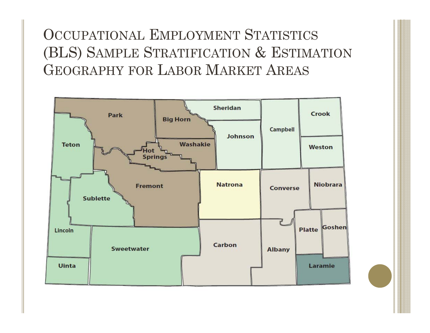OCCUPATIONAL EMPLOYMENT STATISTICS (BLS) SAMPLE STRATIFICATION & ESTIMATION GEOGRAPHY FOR LABOR MARKET AREAS

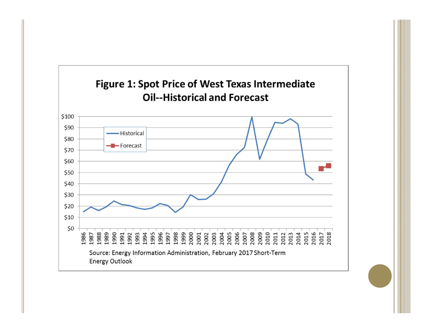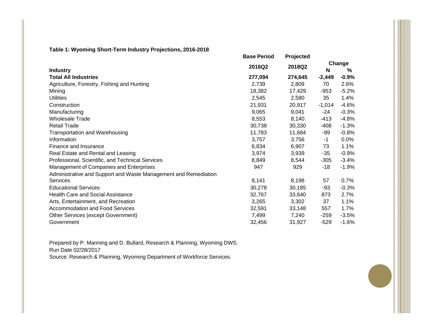#### **Table 1: Wyoming Short-Term Industry Projections, 2016-2018**

|                                                                 | <b>Base Period</b> | Projected |          |             |
|-----------------------------------------------------------------|--------------------|-----------|----------|-------------|
| <b>Industry</b>                                                 | 2016Q2             | 2018Q2    | N        | Change<br>% |
| <b>Total All Industries</b>                                     | 277,094            | 274,645   | $-2,449$ | $-0.9%$     |
| Agriculture, Forestry, Fishing and Hunting                      | 2,739              | 2,809     | 70       | 2.6%        |
| Mining                                                          | 18,382             | 17,429    | -953     | $-5.2%$     |
| <b>Utilities</b>                                                | 2,545              | 2,580     | 35       | 1.4%        |
| Construction                                                    | 21,931             | 20,917    | $-1,014$ | $-4.6%$     |
| Manufacturing                                                   | 9,065              | 9,041     | $-24$    | $-0.3%$     |
| <b>Wholesale Trade</b>                                          | 8,553              | 8,140     | $-413$   | $-4.8%$     |
| <b>Retail Trade</b>                                             | 30,738             | 30,330    | $-408$   | $-1.3%$     |
| <b>Transportation and Warehousing</b>                           | 11,783             | 11,684    | -99      | $-0.8%$     |
| Information                                                     | 3,757              | 3,756     | $-1$     | 0.0%        |
| Finance and Insurance                                           | 6,834              | 6,907     | 73       | 1.1%        |
| Real Estate and Rental and Leasing                              | 3,974              | 3,939     | -35      | $-0.9%$     |
| Professional, Scientific, and Technical Services                | 8,849              | 8,544     | $-305$   | $-3.4%$     |
| Management of Companies and Enterprises                         | 947                | 929       | $-18$    | $-1.9%$     |
| Administrative and Support and Waste Management and Remediation |                    |           |          |             |
| <b>Services</b>                                                 | 8,141              | 8,198     | 57       | 0.7%        |
| <b>Educational Services</b>                                     | 30,278             | 30,185    | -93      | $-0.3%$     |
| Health Care and Social Assistance                               | 32,767             | 33,640    | 873      | 2.7%        |
| Arts, Entertainment, and Recreation                             | 3,265              | 3,302     | 37       | 1.1%        |
| <b>Accommodation and Food Services</b>                          | 32,591             | 33,148    | 557      | 1.7%        |
| Other Services (except Government)                              | 7,499              | 7,240     | -259     | $-3.5%$     |
| Government                                                      | 32,456             | 31,927    | $-529$   | $-1.6%$     |

Prepared by P. Manning and D. Bullard, Research & Planning, Wyoming DWS. Run Date 02/28/2017Source: Research & Planning, Wyoming Department of Workforce Services.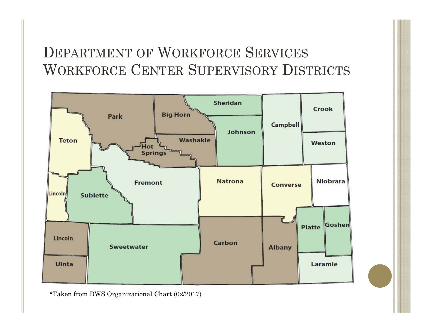### DEPARTMENT OF WORKFORCE SERVICES WORKFORCE CENTER SUPERVISORY DISTRICTS



\*Taken from DWS Organizational Chart (02/2017)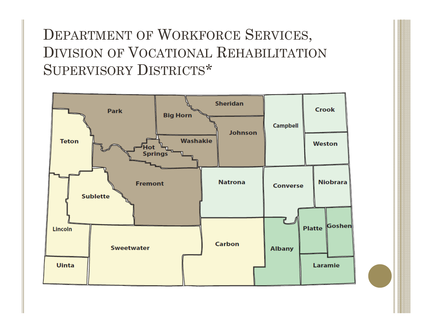### DEPARTMENT OF WORKFORCE SERVICES, DIVISION OF VOCATIONAL REHABILITATION SUPERVISORY DISTRICTS\*

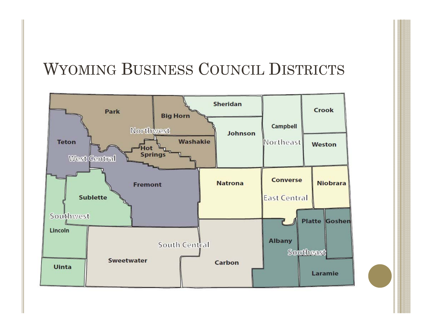### WYOMING BUSINESS COUNCIL DISTRICTS

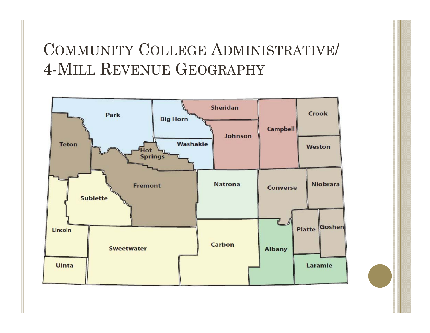## COMMUNITY COLLEGE ADMINISTRATIVE/ 4-MILL REVENUE GEOGRAPHY

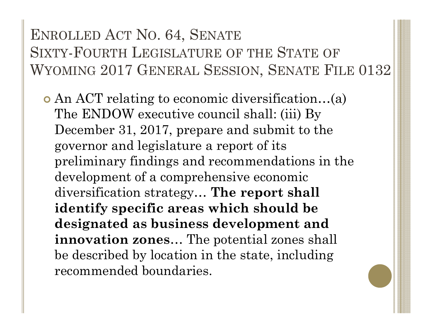### ENROLLED ACT NO. 64, SENATE SIXTY-FOURTH LEGISLATURE OF THE STATE OF WYOMING 2017 GENERAL SESSION, SENATE FILE 0132

 An ACT relating to economic diversification…(a) The ENDOW executive council shall: (iii) By December 31, 2017, prepare and submit to the governor and legislature a report of its preliminary findings and recommendations in the development of a comprehensive economic diversification strategy… **The report shall identify specific areas which should be designated as business development and innovation zones**… The potential zones shall be described by location in the state, including recommended boundaries.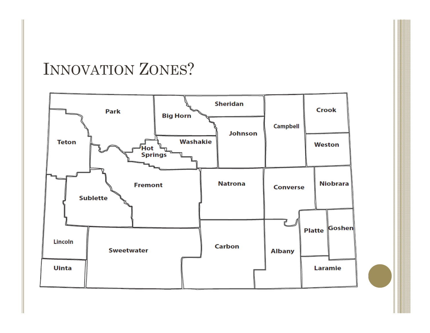### INNOVATION ZONES ?

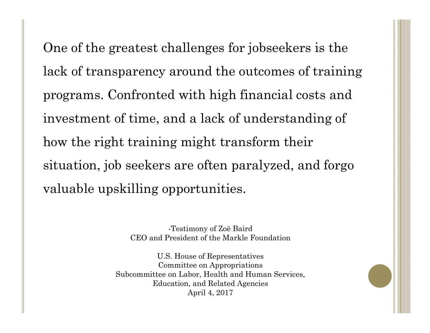One of the greatest challenges for jobseekers is the lack of transparency around the outcomes of training programs. Confronted with high financial costs and investment of time, and a lack of understanding of how the right training might transform their situation, job seekers are often paralyzed, and forgo valuable upskilling opportunities.

> -Testimony of Zoë Baird CEO and President of the Markle Foundation

U.S. House of Representatives Committee on Appropriations Subcommittee on Labor, Health and Human Services, Education, and Related Agencies April 4, 2017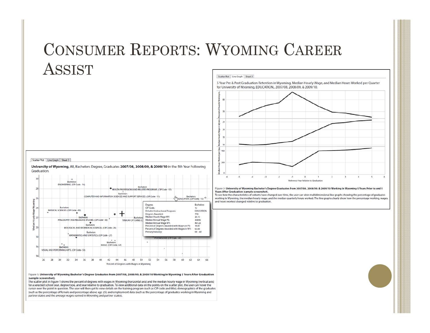### CONSUMER REPORTS: WYOMING CAREER ASSIST



#### Figure 1: University of Wyoming Bachelor's Degree Graduates from 2007/08, 2008/09, & 2009/10 Working in Wyoming 5 Years After Graduation (sample screenshot).

The scatter plot in Figure 1 shows the percent of degrees with wages in Wyoming (horizontal axis) and the median hourly wage in Wyoming (vertical axis) for a selected school year, degree type, and year relative to graduation. To view additional data on the points on the scatter plot, the user can hover the cursor over the point in question. The user will then get to view details on the training program (such as CIP code and title), demographics of the graduates (such as the percentage of female and percentage above age 25), and employment data (such as the percentage of graduates working in Wyoming and partner states and the average wages earned in Wyoming and partner states).

Scatter Plot Line Graph Sheet 3

5 Year Pre & Post Graduation Retention in Wyoming, Median Hourly Wage, and Median Hours Worked per Quarter for University of Wyoming, EDUCATION., 2007/08, 2008/09, & 2009/10.



Figure 2: University of Wyoming Bachelor's Degree Graduates from 2007/08, 2008/09, & 2009/10 Working in Wyoming 5 Years Prior to and 5 Years After Graduation (sample screenshot).

To see how the characteristics of cohorts have changed over time, the user can view multidimensional line graphs showing the percentage of graduates working in Wyoming, the median hourly wage, and the median quarterly hours worked. The line graphs clearly show how the percentage working, wages, and hours worked changed relative to graduation.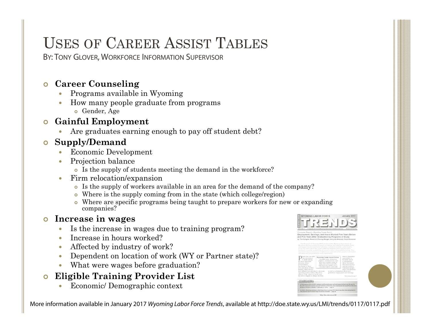### USES OF CAREER ASSIST TABLES

BY: TONY GLOVER, WORKFORCE INFORMATION SUPERVISOR

### **Career Counseling**

- $\bullet$ Programs available in Wyoming
- $\bullet$  How many people graduate from programs **•** Gender, Age

#### $\bullet$ **Gainful Employment**

Are graduates earning enough to pay off student debt?

### **Supply/Demand**

- $\bullet$ Economic Development
- 0 Projection balance
	- Is the supply of students meeting the demand in the workforce?
- $\bullet$  Firm relocation/expansion
	- Is the supply of workers available in an area for the demand of the company?
	- Where is the supply coming from in the state (which college/region)
	- Where are specific programs being taught to prepare workers for new or expanding companies?

#### $\bullet$ **Increase in wages**

- $\bullet$ Is the increase in wages due to training program?
- $\bullet$ Increase in hours worked?
- $\bullet$ Affected by industry of work?
- $\bullet$ Dependent on location of work (WY or Partner state)?
- $\bullet$ What were wages before graduation?

#### $\bullet$ **Eligible Training Provider List**

 $\bullet$ Economic/ Demographic context

More information available in January 2017 Wyoming Labor Force Trends, available at http://doe.state.wy.us/LMI/trends/0117/0117.pdf



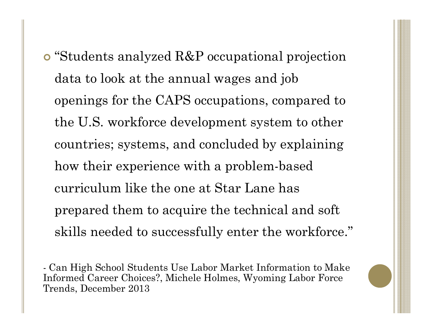"Students analyzed R&P occupational projection data to look at the annual wages and job openings for the CAPS occupations, compared to the U.S. workforce development system to other countries; systems, and concluded by explaining how their experience with a problem-based curriculum like the one at Star Lane has prepared them to acquire the technical and soft skills needed to successfully enter the workforce."

- Can High School Students Use Labor Market Information to Make Informed Career Choices?, Michele Holmes, Wyoming Labor Force Trends, December 2013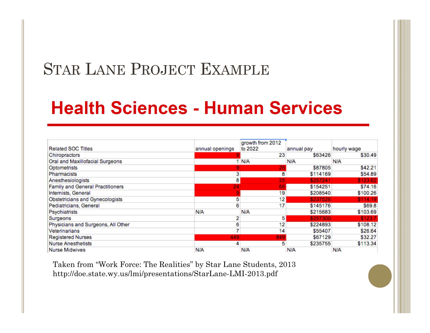### STAR LANE PROJECT EXAMPLE

## **Health Sciences - Human Services**

| <b>Related SOC Titles</b>               | annual openings | growth from 2012<br>to 2022 | annual pay | hourly wage |
|-----------------------------------------|-----------------|-----------------------------|------------|-------------|
| Chiropractors                           |                 | 23                          | \$63426    | \$30.49     |
| Oral and Maxillofacial Surgeons         |                 | <b>N/A</b>                  | <b>N/A</b> | <b>N/A</b>  |
| Optometrists                            |                 | 25                          | \$87805    | \$42.21     |
| <b>Pharmacists</b>                      |                 | 8                           | \$114169   | \$54.89     |
| Anesthesiologists                       | 8               | 25                          | \$257241   | \$123.62    |
| <b>Family and General Practitioners</b> | 24              | 65                          | \$154251   | \$74.16     |
| Internists, General                     |                 | 19                          | \$208540   | \$100.26    |
| Obstetricians and Gynecologists         | 5               | 12 <sub>1</sub>             | \$237526   | \$114.19    |
| Pediatricians, General                  | 6               | 17                          | \$145176   | \$69.8      |
| Psychiatrists                           | N/A             | <b>N/A</b>                  | \$215683   | \$103.69    |
| <b>Surgeons</b>                         |                 | 5                           | \$257300   | \$123.7     |
| Physicians and Surgeons, All Other      | 6               | 12                          | \$224893   | \$108.12    |
| Veterinarians                           |                 | 14                          | \$55407    | \$26.64     |
| <b>Registered Nurses</b>                | 449             | 849                         | \$67129    | \$32.27     |
| <b>Nurse Anesthetists</b>               | 4               | 5                           | \$235755   | \$113.34    |
| <b>Nurse Midwives</b>                   | N/A             | N/A                         | N/A        | N/A         |

Taken from "Work Force: The Realities" by Star Lane Students, 2013 http://doe.state.wy.us/lmi/presentations/StarLane-LMI-2013.pdf